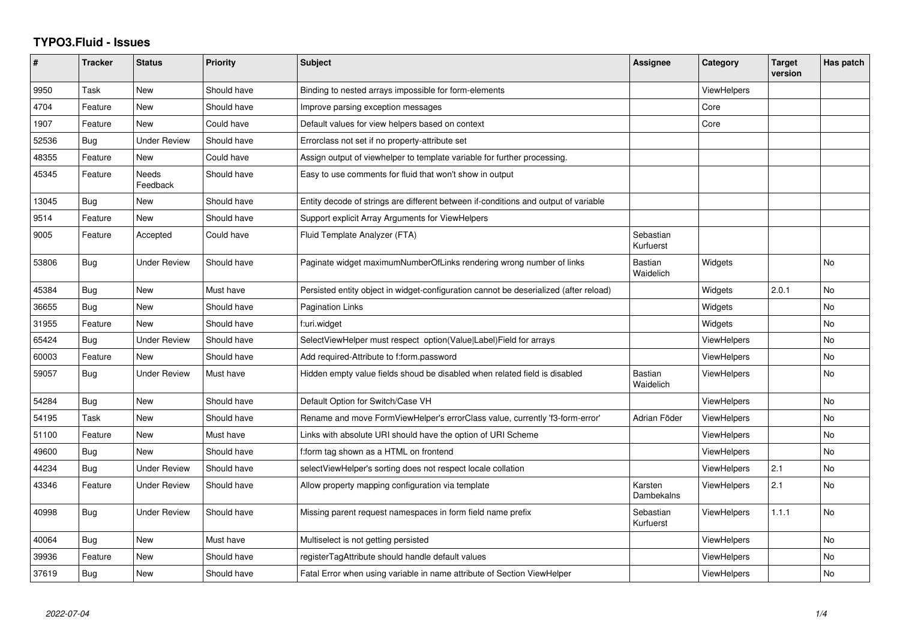## **TYPO3.Fluid - Issues**

| #     | <b>Tracker</b> | <b>Status</b>       | <b>Priority</b> | <b>Subject</b>                                                                        | <b>Assignee</b>             | Category           | <b>Target</b><br>version | Has patch |
|-------|----------------|---------------------|-----------------|---------------------------------------------------------------------------------------|-----------------------------|--------------------|--------------------------|-----------|
| 9950  | Task           | <b>New</b>          | Should have     | Binding to nested arrays impossible for form-elements                                 |                             | ViewHelpers        |                          |           |
| 4704  | Feature        | <b>New</b>          | Should have     | Improve parsing exception messages                                                    |                             | Core               |                          |           |
| 1907  | Feature        | <b>New</b>          | Could have      | Default values for view helpers based on context                                      |                             | Core               |                          |           |
| 52536 | Bug            | Under Review        | Should have     | Errorclass not set if no property-attribute set                                       |                             |                    |                          |           |
| 48355 | Feature        | New                 | Could have      | Assign output of viewhelper to template variable for further processing.              |                             |                    |                          |           |
| 45345 | Feature        | Needs<br>Feedback   | Should have     | Easy to use comments for fluid that won't show in output                              |                             |                    |                          |           |
| 13045 | Bug            | <b>New</b>          | Should have     | Entity decode of strings are different between if-conditions and output of variable   |                             |                    |                          |           |
| 9514  | Feature        | <b>New</b>          | Should have     | Support explicit Array Arguments for ViewHelpers                                      |                             |                    |                          |           |
| 9005  | Feature        | Accepted            | Could have      | Fluid Template Analyzer (FTA)                                                         | Sebastian<br>Kurfuerst      |                    |                          |           |
| 53806 | Bug            | <b>Under Review</b> | Should have     | Paginate widget maximumNumberOfLinks rendering wrong number of links                  | <b>Bastian</b><br>Waidelich | Widgets            |                          | No        |
| 45384 | Bug            | <b>New</b>          | Must have       | Persisted entity object in widget-configuration cannot be deserialized (after reload) |                             | Widgets            | 2.0.1                    | <b>No</b> |
| 36655 | Bug            | New                 | Should have     | Pagination Links                                                                      |                             | Widgets            |                          | No        |
| 31955 | Feature        | New                 | Should have     | f:uri.widget                                                                          |                             | Widgets            |                          | <b>No</b> |
| 65424 | Bug            | <b>Under Review</b> | Should have     | SelectViewHelper must respect option(Value Label)Field for arrays                     |                             | ViewHelpers        |                          | No        |
| 60003 | Feature        | <b>New</b>          | Should have     | Add required-Attribute to f:form.password                                             |                             | ViewHelpers        |                          | No        |
| 59057 | Bug            | Under Review        | Must have       | Hidden empty value fields shoud be disabled when related field is disabled            | Bastian<br>Waidelich        | ViewHelpers        |                          | No.       |
| 54284 | Bug            | New                 | Should have     | Default Option for Switch/Case VH                                                     |                             | <b>ViewHelpers</b> |                          | No        |
| 54195 | Task           | <b>New</b>          | Should have     | Rename and move FormViewHelper's errorClass value, currently 'f3-form-error'          | Adrian Föder                | <b>ViewHelpers</b> |                          | No        |
| 51100 | Feature        | New                 | Must have       | Links with absolute URI should have the option of URI Scheme                          |                             | ViewHelpers        |                          | No        |
| 49600 | Bug            | <b>New</b>          | Should have     | f:form tag shown as a HTML on frontend                                                |                             | <b>ViewHelpers</b> |                          | No        |
| 44234 | Bug            | <b>Under Review</b> | Should have     | selectViewHelper's sorting does not respect locale collation                          |                             | <b>ViewHelpers</b> | 2.1                      | <b>No</b> |
| 43346 | Feature        | Under Review        | Should have     | Allow property mapping configuration via template                                     | Karsten<br>Dambekalns       | <b>ViewHelpers</b> | 2.1                      | No        |
| 40998 | Bug            | <b>Under Review</b> | Should have     | Missing parent request namespaces in form field name prefix                           | Sebastian<br>Kurfuerst      | <b>ViewHelpers</b> | 1.1.1                    | <b>No</b> |
| 40064 | Bug            | <b>New</b>          | Must have       | Multiselect is not getting persisted                                                  |                             | <b>ViewHelpers</b> |                          | <b>No</b> |
| 39936 | Feature        | New                 | Should have     | registerTagAttribute should handle default values                                     |                             | ViewHelpers        |                          | <b>No</b> |
| 37619 | Bug            | New                 | Should have     | Fatal Error when using variable in name attribute of Section ViewHelper               |                             | ViewHelpers        |                          | No        |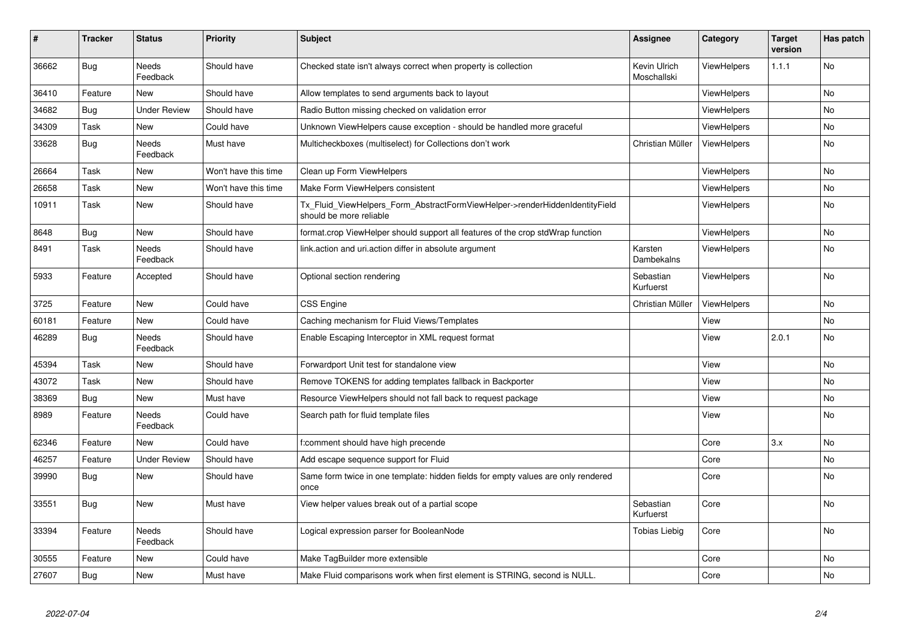| #     | <b>Tracker</b> | <b>Status</b>            | <b>Priority</b>      | <b>Subject</b>                                                                                         | <b>Assignee</b>             | Category           | <b>Target</b><br>version | Has patch |
|-------|----------------|--------------------------|----------------------|--------------------------------------------------------------------------------------------------------|-----------------------------|--------------------|--------------------------|-----------|
| 36662 | <b>Bug</b>     | Needs<br>Feedback        | Should have          | Checked state isn't always correct when property is collection                                         | Kevin Ulrich<br>Moschallski | ViewHelpers        | 1.1.1                    | <b>No</b> |
| 36410 | Feature        | <b>New</b>               | Should have          | Allow templates to send arguments back to layout                                                       |                             | ViewHelpers        |                          | <b>No</b> |
| 34682 | Bug            | <b>Under Review</b>      | Should have          | Radio Button missing checked on validation error                                                       |                             | <b>ViewHelpers</b> |                          | <b>No</b> |
| 34309 | Task           | New                      | Could have           | Unknown ViewHelpers cause exception - should be handled more graceful                                  |                             | ViewHelpers        |                          | <b>No</b> |
| 33628 | Bug            | Needs<br>Feedback        | Must have            | Multicheckboxes (multiselect) for Collections don't work                                               | Christian Müller            | ViewHelpers        |                          | <b>No</b> |
| 26664 | Task           | New                      | Won't have this time | Clean up Form ViewHelpers                                                                              |                             | ViewHelpers        |                          | <b>No</b> |
| 26658 | Task           | New                      | Won't have this time | Make Form ViewHelpers consistent                                                                       |                             | ViewHelpers        |                          | <b>No</b> |
| 10911 | Task           | New                      | Should have          | Tx Fluid ViewHelpers Form AbstractFormViewHelper->renderHiddenIdentityField<br>should be more reliable |                             | <b>ViewHelpers</b> |                          | <b>No</b> |
| 8648  | <b>Bug</b>     | New                      | Should have          | format.crop ViewHelper should support all features of the crop stdWrap function                        |                             | ViewHelpers        |                          | <b>No</b> |
| 8491  | Task           | <b>Needs</b><br>Feedback | Should have          | link action and uri action differ in absolute argument                                                 | Karsten<br>Dambekalns       | ViewHelpers        |                          | No        |
| 5933  | Feature        | Accepted                 | Should have          | Optional section rendering                                                                             | Sebastian<br>Kurfuerst      | ViewHelpers        |                          | <b>No</b> |
| 3725  | Feature        | New                      | Could have           | <b>CSS Engine</b>                                                                                      | Christian Müller            | <b>ViewHelpers</b> |                          | <b>No</b> |
| 60181 | Feature        | <b>New</b>               | Could have           | Caching mechanism for Fluid Views/Templates                                                            |                             | View               |                          | <b>No</b> |
| 46289 | Bug            | <b>Needs</b><br>Feedback | Should have          | Enable Escaping Interceptor in XML request format                                                      |                             | View               | 2.0.1                    | <b>No</b> |
| 45394 | Task           | New                      | Should have          | Forwardport Unit test for standalone view                                                              |                             | View               |                          | <b>No</b> |
| 43072 | Task           | New                      | Should have          | Remove TOKENS for adding templates fallback in Backporter                                              |                             | View               |                          | <b>No</b> |
| 38369 | <b>Bug</b>     | New                      | Must have            | Resource ViewHelpers should not fall back to request package                                           |                             | View               |                          | <b>No</b> |
| 8989  | Feature        | Needs<br>Feedback        | Could have           | Search path for fluid template files                                                                   |                             | View               |                          | <b>No</b> |
| 62346 | Feature        | <b>New</b>               | Could have           | f:comment should have high precende                                                                    |                             | Core               | 3.x                      | <b>No</b> |
| 46257 | Feature        | <b>Under Review</b>      | Should have          | Add escape sequence support for Fluid                                                                  |                             | Core               |                          | <b>No</b> |
| 39990 | <b>Bug</b>     | New                      | Should have          | Same form twice in one template: hidden fields for empty values are only rendered<br>once              |                             | Core               |                          | <b>No</b> |
| 33551 | <b>Bug</b>     | New                      | Must have            | View helper values break out of a partial scope                                                        | Sebastian<br>Kurfuerst      | Core               |                          | <b>No</b> |
| 33394 | Feature        | Needs<br>Feedback        | Should have          | Logical expression parser for BooleanNode                                                              | <b>Tobias Liebig</b>        | Core               |                          | <b>No</b> |
| 30555 | Feature        | New                      | Could have           | Make TagBuilder more extensible                                                                        |                             | Core               |                          | No        |
| 27607 | Bug            | New                      | Must have            | Make Fluid comparisons work when first element is STRING, second is NULL.                              |                             | Core               |                          | No        |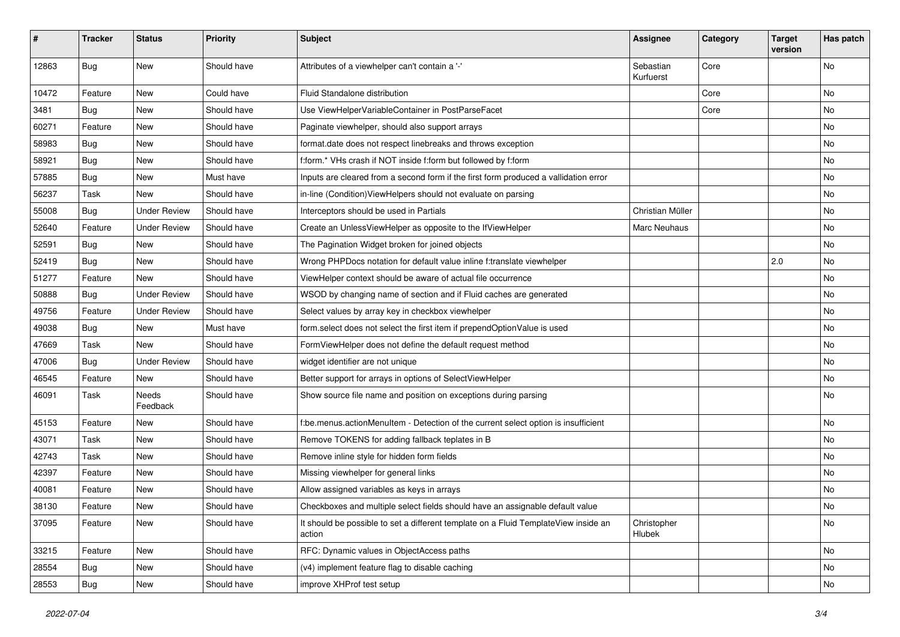| #     | <b>Tracker</b> | <b>Status</b>       | <b>Priority</b> | Subject                                                                                       | <b>Assignee</b>        | Category | <b>Target</b><br>version | Has patch |
|-------|----------------|---------------------|-----------------|-----------------------------------------------------------------------------------------------|------------------------|----------|--------------------------|-----------|
| 12863 | Bug            | <b>New</b>          | Should have     | Attributes of a viewhelper can't contain a '-'                                                | Sebastian<br>Kurfuerst | Core     |                          | <b>No</b> |
| 10472 | Feature        | New                 | Could have      | Fluid Standalone distribution                                                                 |                        | Core     |                          | No        |
| 3481  | Bug            | <b>New</b>          | Should have     | Use ViewHelperVariableContainer in PostParseFacet                                             |                        | Core     |                          | No        |
| 60271 | Feature        | New                 | Should have     | Paginate viewhelper, should also support arrays                                               |                        |          |                          | No        |
| 58983 | Bug            | New                 | Should have     | format.date does not respect linebreaks and throws exception                                  |                        |          |                          | <b>No</b> |
| 58921 | Bug            | New                 | Should have     | f:form.* VHs crash if NOT inside f:form but followed by f:form                                |                        |          |                          | No        |
| 57885 | Bug            | New                 | Must have       | Inputs are cleared from a second form if the first form produced a vallidation error          |                        |          |                          | No        |
| 56237 | Task           | New                 | Should have     | in-line (Condition) ViewHelpers should not evaluate on parsing                                |                        |          |                          | No        |
| 55008 | Bug            | <b>Under Review</b> | Should have     | Interceptors should be used in Partials                                                       | Christian Müller       |          |                          | No        |
| 52640 | Feature        | <b>Under Review</b> | Should have     | Create an UnlessViewHelper as opposite to the IfViewHelper                                    | Marc Neuhaus           |          |                          | <b>No</b> |
| 52591 | Bug            | New                 | Should have     | The Pagination Widget broken for joined objects                                               |                        |          |                          | No        |
| 52419 | Bug            | <b>New</b>          | Should have     | Wrong PHPDocs notation for default value inline f:translate viewhelper                        |                        |          | 2.0                      | No        |
| 51277 | Feature        | New                 | Should have     | ViewHelper context should be aware of actual file occurrence                                  |                        |          |                          | No        |
| 50888 | Bug            | <b>Under Review</b> | Should have     | WSOD by changing name of section and if Fluid caches are generated                            |                        |          |                          | No        |
| 49756 | Feature        | <b>Under Review</b> | Should have     | Select values by array key in checkbox viewhelper                                             |                        |          |                          | No        |
| 49038 | Bug            | New                 | Must have       | form.select does not select the first item if prependOptionValue is used                      |                        |          |                          | No        |
| 47669 | Task           | New                 | Should have     | FormViewHelper does not define the default request method                                     |                        |          |                          | No        |
| 47006 | Bug            | <b>Under Review</b> | Should have     | widget identifier are not unique                                                              |                        |          |                          | <b>No</b> |
| 46545 | Feature        | New                 | Should have     | Better support for arrays in options of SelectViewHelper                                      |                        |          |                          | No        |
| 46091 | Task           | Needs<br>Feedback   | Should have     | Show source file name and position on exceptions during parsing                               |                        |          |                          | No        |
| 45153 | Feature        | New                 | Should have     | f:be.menus.actionMenuItem - Detection of the current select option is insufficient            |                        |          |                          | No        |
| 43071 | Task           | New                 | Should have     | Remove TOKENS for adding fallback teplates in B                                               |                        |          |                          | No        |
| 42743 | Task           | New                 | Should have     | Remove inline style for hidden form fields                                                    |                        |          |                          | No        |
| 42397 | Feature        | New                 | Should have     | Missing viewhelper for general links                                                          |                        |          |                          | No        |
| 40081 | Feature        | New                 | Should have     | Allow assigned variables as keys in arrays                                                    |                        |          |                          | No        |
| 38130 | Feature        | New                 | Should have     | Checkboxes and multiple select fields should have an assignable default value                 |                        |          |                          | No        |
| 37095 | Feature        | New                 | Should have     | It should be possible to set a different template on a Fluid TemplateView inside an<br>action | Christopher<br>Hlubek  |          |                          | No        |
| 33215 | Feature        | New                 | Should have     | RFC: Dynamic values in ObjectAccess paths                                                     |                        |          |                          | No        |
| 28554 | <b>Bug</b>     | New                 | Should have     | (v4) implement feature flag to disable caching                                                |                        |          |                          | No        |
| 28553 | <b>Bug</b>     | New                 | Should have     | improve XHProf test setup                                                                     |                        |          |                          | No        |